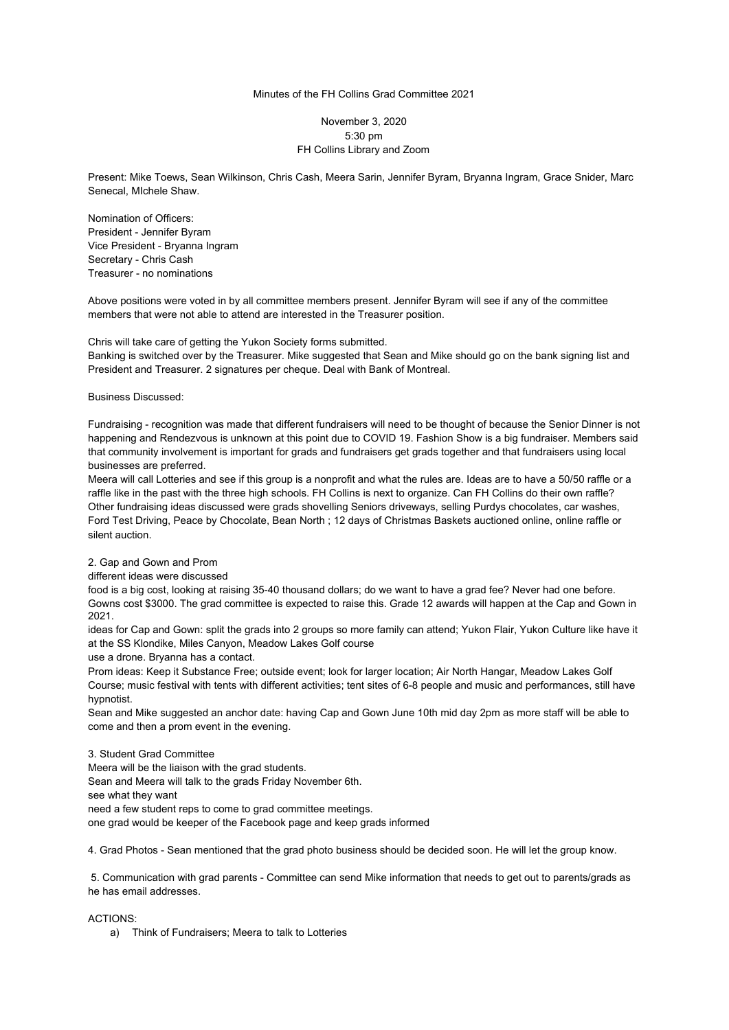## Minutes of the FH Collins Grad Committee 2021

## November 3, 2020 5:30 pm FH Collins Library and Zoom

Present: Mike Toews, Sean Wilkinson, Chris Cash, Meera Sarin, Jennifer Byram, Bryanna Ingram, Grace Snider, Marc Senecal, MIchele Shaw.

Nomination of Officers: President - Jennifer Byram Vice President - Bryanna Ingram Secretary - Chris Cash Treasurer - no nominations

Above positions were voted in by all committee members present. Jennifer Byram will see if any of the committee members that were not able to attend are interested in the Treasurer position.

## Chris will take care of getting the Yukon Society forms submitted.

Banking is switched over by the Treasurer. Mike suggested that Sean and Mike should go on the bank signing list and President and Treasurer. 2 signatures per cheque. Deal with Bank of Montreal.

Business Discussed:

Fundraising - recognition was made that different fundraisers will need to be thought of because the Senior Dinner is not happening and Rendezvous is unknown at this point due to COVID 19. Fashion Show is a big fundraiser. Members said that community involvement is important for grads and fundraisers get grads together and that fundraisers using local businesses are preferred.

Meera will call Lotteries and see if this group is a nonprofit and what the rules are. Ideas are to have a 50/50 raffle or a raffle like in the past with the three high schools. FH Collins is next to organize. Can FH Collins do their own raffle? Other fundraising ideas discussed were grads shovelling Seniors driveways, selling Purdys chocolates, car washes, Ford Test Driving, Peace by Chocolate, Bean North ; 12 days of Christmas Baskets auctioned online, online raffle or silent auction.

2. Gap and Gown and Prom

different ideas were discussed

food is a big cost, looking at raising 35-40 thousand dollars; do we want to have a grad fee? Never had one before. Gowns cost \$3000. The grad committee is expected to raise this. Grade 12 awards will happen at the Cap and Gown in 2021.

ideas for Cap and Gown: split the grads into 2 groups so more family can attend; Yukon Flair, Yukon Culture like have it at the SS Klondike, Miles Canyon, Meadow Lakes Golf course

use a drone. Bryanna has a contact.

Prom ideas: Keep it Substance Free; outside event; look for larger location; Air North Hangar, Meadow Lakes Golf Course; music festival with tents with different activities; tent sites of 6-8 people and music and performances, still have hypnotist.

Sean and Mike suggested an anchor date: having Cap and Gown June 10th mid day 2pm as more staff will be able to come and then a prom event in the evening.

3. Student Grad Committee

Meera will be the liaison with the grad students.

Sean and Meera will talk to the grads Friday November 6th.

see what they want

need a few student reps to come to grad committee meetings.

one grad would be keeper of the Facebook page and keep grads informed

4. Grad Photos - Sean mentioned that the grad photo business should be decided soon. He will let the group know.

5. Communication with grad parents - Committee can send Mike information that needs to get out to parents/grads as he has email addresses.

ACTIONS:

a) Think of Fundraisers; Meera to talk to Lotteries